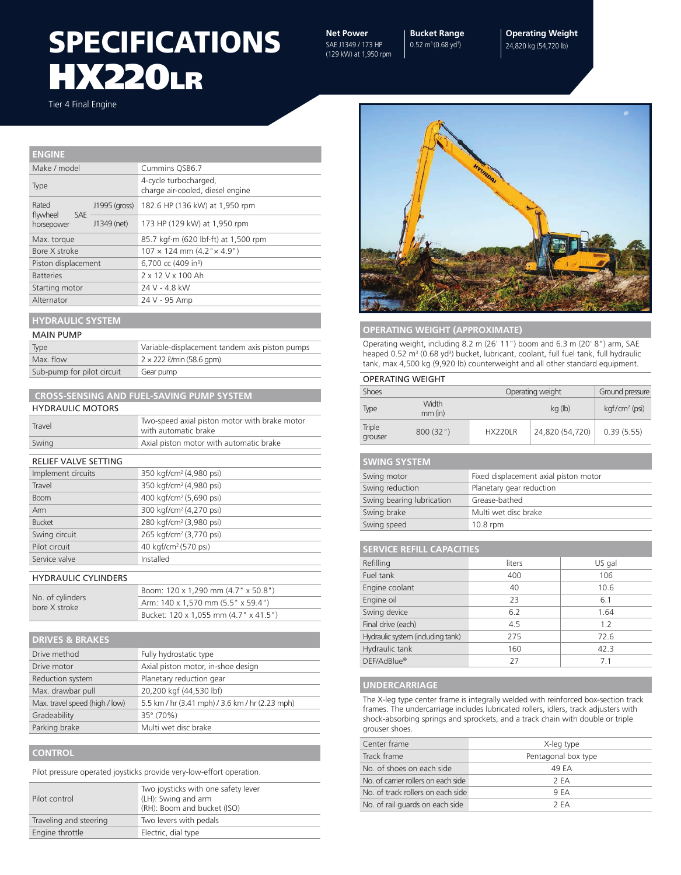### **HX220LR SPECIFICATIONS** Net Power

SAE J1349 / 173 HP (129 kW) at 1,950 rpm

**Bucket Range** 0.52 m<sup>3</sup> (0.68 yd<sup>3</sup>)

**Operating Weight** 24,820 kg (54,720 lb)

Tier 4 Final Engine

| <b>ENGINE</b>            |               |                                                           |  |
|--------------------------|---------------|-----------------------------------------------------------|--|
| Make / model             |               | Cummins QSB6.7                                            |  |
| Type                     |               | 4-cycle turbocharged,<br>charge air-cooled, diesel engine |  |
| Rated<br>flywheel<br>SAE | J1995 (gross) | 182.6 HP (136 kW) at 1,950 rpm                            |  |
| horsepower               | J1349 (net)   | 173 HP (129 kW) at 1,950 rpm                              |  |
| Max. torque              |               | 85.7 kgf·m (620 lbf·ft) at 1,500 rpm                      |  |
| Bore X stroke            |               | $107 \times 124$ mm $(4.2" \times 4.9")$                  |  |
| Piston displacement      |               | 6,700 cc (409 in <sup>3</sup> )                           |  |
| <b>Batteries</b>         |               | 2 x 12 V x 100 Ah                                         |  |
| Starting motor           |               | 24 V - 4.8 kW                                             |  |
| Alternator               |               | 24 V - 95 Amp                                             |  |
|                          |               |                                                           |  |

#### **HYDRAULIC SYSTEM**

| Type                       | Variable-displacement tandem axis piston pumps |  |
|----------------------------|------------------------------------------------|--|
| Max. flow                  | $2 \times 222$ <i>U</i> min (58.6 gpm)         |  |
| Sub-pump for pilot circuit | Gear pump                                      |  |

| <b>CROSS-SENSING AND FUEL-SAVING PUMP SYSTEM</b> |                                                                       |  |  |
|--------------------------------------------------|-----------------------------------------------------------------------|--|--|
| <b>HYDRAULIC MOTORS</b>                          |                                                                       |  |  |
| Travel                                           | Two-speed axial piston motor with brake motor<br>with automatic brake |  |  |
| Swing                                            | Axial piston motor with automatic brake                               |  |  |
| RELIEF VALVE SETTING                             |                                                                       |  |  |
| Implement circuits                               | 350 kgf/cm <sup>2</sup> (4,980 psi)                                   |  |  |
| Travel                                           | 350 kgf/cm <sup>2</sup> (4,980 psi)                                   |  |  |
| <b>Boom</b>                                      | 400 kgf/cm <sup>2</sup> (5,690 psi)                                   |  |  |
| Arm                                              | 300 kgf/cm <sup>2</sup> (4,270 psi)                                   |  |  |
| <b>Bucket</b>                                    | 280 kgf/cm <sup>2</sup> (3,980 psi)                                   |  |  |
| Swing circuit                                    | 265 kgf/cm <sup>2</sup> (3,770 psi)                                   |  |  |
| Pilot circuit                                    | 40 kgf/cm <sup>2</sup> (570 psi)                                      |  |  |
| Service valve                                    | Installed                                                             |  |  |
| <b>HYDRAULIC CYLINDERS</b>                       |                                                                       |  |  |
|                                                  | Boom: 120 x 1,290 mm (4.7" x 50.8")                                   |  |  |
| No. of cylinders<br>bore X stroke                | Arm: 140 x 1,570 mm (5.5" x 59.4")                                    |  |  |
|                                                  | Bucket: 120 x 1,055 mm (4.7" x 41.5")                                 |  |  |

| <b>DRIVES &amp; BRAKES</b>     |                                                 |  |  |  |
|--------------------------------|-------------------------------------------------|--|--|--|
| Drive method                   | Fully hydrostatic type                          |  |  |  |
| Drive motor                    | Axial piston motor, in-shoe design              |  |  |  |
| Reduction system               | Planetary reduction gear                        |  |  |  |
| Max. drawbar pull              | 20,200 kgf (44,530 lbf)                         |  |  |  |
| Max. travel speed (high / low) | 5.5 km / hr (3.41 mph) / 3.6 km / hr (2.23 mph) |  |  |  |
| Gradeability                   | 35° (70%)                                       |  |  |  |
| Parking brake                  | Multi wet disc brake                            |  |  |  |

#### **CONTROL**

Pilot pressure operated joysticks provide very-low-effort operation.

| Pilot control          | Two joysticks with one safety lever<br>(LH): Swing and arm<br>(RH): Boom and bucket (ISO) |
|------------------------|-------------------------------------------------------------------------------------------|
| Traveling and steering | Two levers with pedals                                                                    |
| Engine throttle        | Electric, dial type                                                                       |



#### **OPERATING WEIGHT (APPROXIMATE)**

Operating weight, including 8.2 m (26' 11") boom and 6.3 m (20' 8") arm, SAE heaped 0.52 m<sup>3</sup> (0.68 yd<sup>3</sup>) bucket, lubricant, coolant, full fuel tank, full hydraulic tank, max 4,500 kg (9,920 lb) counterweight and all other standard equipment.

#### OPERATING WEIGHT

| <b>Shoes</b>      |                    | Operating weight |                 | Ground pressure  |
|-------------------|--------------------|------------------|-----------------|------------------|
| Type              | Width<br>$mm$ (in) | kg (lb)          |                 | $kqf/cm^2$ (psi) |
| Triple<br>grouser | 800(32")           | <b>HX220LR</b>   | 24,820 (54,720) | 0.39(5.55)       |

| <b>SWING SYSTEM</b>       |                                       |  |  |
|---------------------------|---------------------------------------|--|--|
| Swing motor               | Fixed displacement axial piston motor |  |  |
| Swing reduction           | Planetary gear reduction              |  |  |
| Swing bearing lubrication | Grease-bathed                         |  |  |
| Swing brake               | Multi wet disc brake                  |  |  |
| Swing speed               | $10.8$ rpm                            |  |  |

| <b>SERVICE REFILL CAPACITIES</b>  |        |                |  |  |
|-----------------------------------|--------|----------------|--|--|
| Refilling                         | liters | US gal         |  |  |
| Fuel tank                         | 400    | 106            |  |  |
| Engine coolant                    | 40     | 10.6           |  |  |
| Engine oil                        | 23     | 6.1            |  |  |
| Swing device                      | 6.2    | 1.64           |  |  |
| Final drive (each)                | 4.5    | 1.2            |  |  |
| Hydraulic system (including tank) | 275    | 72.6           |  |  |
| Hydraulic tank                    | 160    | 42.3           |  |  |
| DEF/AdBlue®                       | 27     | 7 <sub>1</sub> |  |  |

#### **UNDERCARRIAGE**

The X-leg type center frame is integrally welded with reinforced box-section track frames. The undercarriage includes lubricated rollers, idlers, track adjusters with shock-absorbing springs and sprockets, and a track chain with double or triple grouser shoes.

| Center frame                        | X-leg type          |
|-------------------------------------|---------------------|
| Track frame                         | Pentagonal box type |
| No. of shoes on each side           | 49 FA               |
| No. of carrier rollers on each side | 2 FA                |
| No. of track rollers on each side   | 9 FA                |
| No. of rail guards on each side     | 2 F.A               |
|                                     |                     |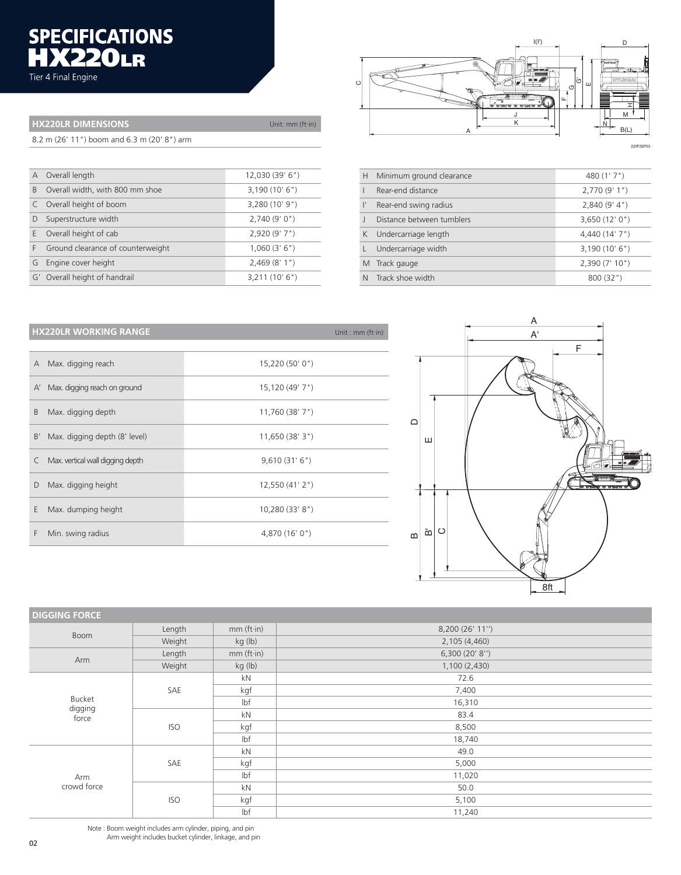# SPECIFICATIONS<br>**HX220LR**<br>Tier 4 Final Engine

| <b>HX220LR DIMENSIONS</b>                   | Unit: $mm (ft-in)$ |  |
|---------------------------------------------|--------------------|--|
| 8.2 m (26' 11") boom and 6.3 m (20' 8") arm |                    |  |

| $\mathsf{A}$ | Overall length                    | 12,030 (39' 6") |
|--------------|-----------------------------------|-----------------|
| B            | Overall width, with 800 mm shoe   | 3,190(10'6")    |
|              | C Overall height of boom          | 3,280 (10' 9")  |
|              | Superstructure width              | 2,740(9'0")     |
| E.           | Overall height of cab             | 2,920 (9' 7")   |
| F.           | Ground clearance of counterweight | 1,060(3'6")     |
| G            | Engine cover height               | 2,469(8'1")     |
|              | G' Overall height of handrail     | 3,211(10'6")    |



220F2SP03

| Minimum ground clearance  | 480(1'7")                                                   |
|---------------------------|-------------------------------------------------------------|
| Rear-end distance         | 2,770(9'1")                                                 |
| Rear-end swing radius     | 2,840(9' 4")                                                |
| Distance between tumblers | 3,650(12'0")                                                |
|                           | 4,440 (14' 7")                                              |
| Undercarriage width       | 3,190(10'6")                                                |
|                           | 2,390(7'10")                                                |
|                           | 800 (32")                                                   |
|                           | K Undercarriage length<br>M Track gauge<br>Track shoe width |

### **HX220LR WORKING RANGE Example 2018 12:00 Management Container and Container Container and Container Container (ft-in)**

| A  | Max. digging reach               | 15,220 (50' 0")      |
|----|----------------------------------|----------------------|
| A' | Max. digging reach on ground     | 15,120 (49' 7")      |
| B  | Max. digging depth               | $11,760$ (38' $7"$ ) |
| B' | Max. digging depth (8' level)    | 11,650(38'3")        |
| C. | Max. vertical wall digging depth | 9,610(31'6")         |
| D  | Max. digging height              | 12,550(41'2")        |
| E  | Max. dumping height              | 10,280 (33' 8")      |
| F  | Min. swing radius                | 4,870 (16' 0")       |
|    |                                  |                      |



| <b>DIGGING FORCE</b>              |            |                 |                  |
|-----------------------------------|------------|-----------------|------------------|
|                                   | Length     | $mm (ft-in)$    | 8,200 (26' 11'') |
| Boom                              | Weight     | kg (lb)         | 2,105 (4,460)    |
| Arm                               | Length     | $mm (ft-in)$    | 6,300(20' 8'')   |
|                                   | Weight     | kg (lb)         | 1,100(2,430)     |
|                                   |            | kN              | 72.6             |
| <b>Bucket</b><br>digging<br>force | SAE        | kgf             | 7,400            |
|                                   |            | lbf             | 16,310           |
|                                   | <b>ISO</b> | kN              | 83.4             |
|                                   |            | kgf             | 8,500            |
|                                   |            | Ibf             | 18,740           |
|                                   |            | kN              | 49.0             |
|                                   | SAE        | kgf             | 5,000            |
| Arm                               |            | I <sub>bf</sub> | 11,020           |
| crowd force                       |            | kN              | 50.0             |
|                                   | <b>ISO</b> | kgf             | 5,100            |
|                                   |            | Ibf             | 11,240           |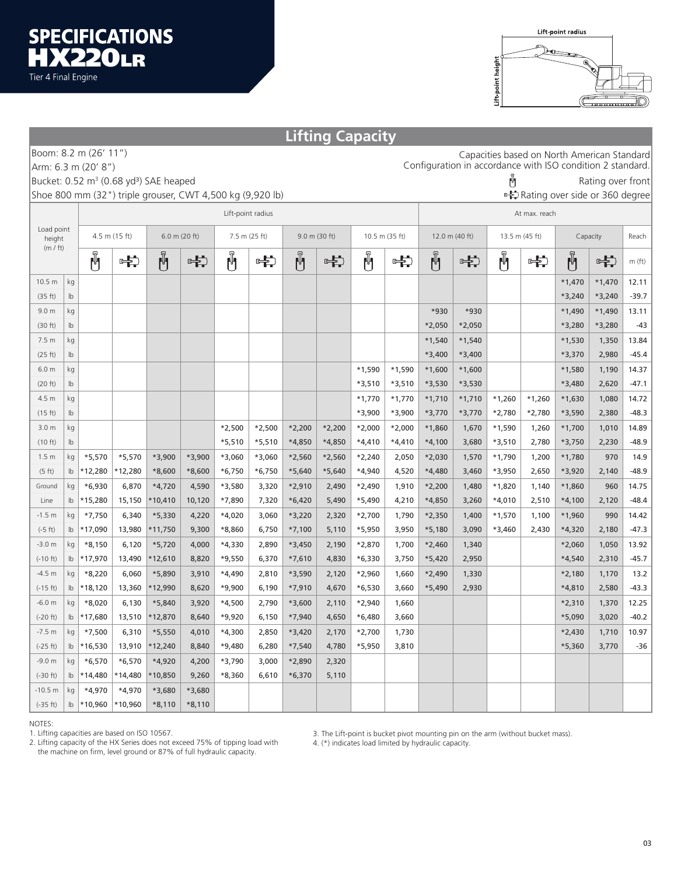

|                                                                                   | <b>Lifting Capacity</b>                                                                     |                                    |          |               |          |               |          |          |                |          |                |                |          |          |          |          |              |          |
|-----------------------------------------------------------------------------------|---------------------------------------------------------------------------------------------|------------------------------------|----------|---------------|----------|---------------|----------|----------|----------------|----------|----------------|----------------|----------|----------|----------|----------|--------------|----------|
| Boom: 8.2 m (26' 11")<br>Capacities based on North American Standard              |                                                                                             |                                    |          |               |          |               |          |          |                |          |                |                |          |          |          |          |              |          |
| Configuration in accordance with ISO condition 2 standard.<br>Arm: 6.3 m (20' 8") |                                                                                             |                                    |          |               |          |               |          |          |                |          |                |                |          |          |          |          |              |          |
|                                                                                   | Ü<br>Bucket: 0.52 m <sup>3</sup> (0.68 yd <sup>3</sup> ) SAE heaped<br>Rating over front    |                                    |          |               |          |               |          |          |                |          |                |                |          |          |          |          |              |          |
|                                                                                   | Shoe 800 mm (32") triple grouser, CWT 4,500 kg (9,920 lb)<br>Rating over side or 360 degree |                                    |          |               |          |               |          |          |                |          |                |                |          |          |          |          |              |          |
|                                                                                   |                                                                                             | Lift-point radius<br>At max. reach |          |               |          |               |          |          |                |          |                |                |          |          |          |          |              |          |
| Load point<br>height                                                              |                                                                                             | 4.5 m (15 ft)<br>$6.0$ m (20 ft)   |          | 7.5 m (25 ft) |          | 9.0 m (30 ft) |          |          | 10.5 m (35 ft) |          | 12.0 m (40 ft) | 13.5 m (45 ft) |          | Capacity |          | Reach    |              |          |
| (m / ft)                                                                          |                                                                                             | Ů                                  | 中        | Ů             | 中        | Ů             | 中        | Ů        | 中              | Ů        | 中              | Ů              | 中        | Ů        | 中        | Ů        | $\leftarrow$ | $m$ (ft) |
| 10.5 <sub>m</sub>                                                                 | kg                                                                                          |                                    |          |               |          |               |          |          |                |          |                |                |          |          |          | $*1,470$ | $*1,470$     | 12.11    |
| (35 ft)                                                                           | $\mathsf{lb}$                                                                               |                                    |          |               |          |               |          |          |                |          |                |                |          |          |          | $*3,240$ | $*3,240$     | $-39.7$  |
| 9.0 <sub>m</sub>                                                                  | kg                                                                                          |                                    |          |               |          |               |          |          |                |          |                | *930           | *930     |          |          | $*1,490$ | $*1,490$     | 13.11    |
| (30 ft)                                                                           | $\mathsf{lb}$                                                                               |                                    |          |               |          |               |          |          |                |          |                | *2,050         | $*2,050$ |          |          | *3,280   | *3,280       | $-43$    |
| 7.5 <sub>m</sub>                                                                  | kg                                                                                          |                                    |          |               |          |               |          |          |                |          |                | $*1,540$       | $*1,540$ |          |          | $*1,530$ | 1,350        | 13.84    |
| (25 ft)                                                                           | $\mathsf{lb}$                                                                               |                                    |          |               |          |               |          |          |                |          |                | $*3,400$       | $*3,400$ |          |          | *3,370   | 2,980        | $-45.4$  |
| 6.0 <sub>m</sub>                                                                  | kg                                                                                          |                                    |          |               |          |               |          |          |                | $*1,590$ | $*1,590$       | $*1,600$       | $*1,600$ |          |          | $*1,580$ | 1,190        | 14.37    |
| (20 ft)                                                                           | $\mathsf{lb}$                                                                               |                                    |          |               |          |               |          |          |                | *3,510   | $*3,510$       | $*3,530$       | *3,530   |          |          | *3,480   | 2,620        | $-47.1$  |
| 4.5 m                                                                             | kg                                                                                          |                                    |          |               |          |               |          |          |                | $*1,770$ | $*1,770$       | $*1,710$       | $*1,710$ | $*1,260$ | $*1,260$ | $*1,630$ | 1,080        | 14.72    |
| (15 ft)                                                                           | $\mathsf{lb}$                                                                               |                                    |          |               |          |               |          |          |                | $*3,900$ | $*3,900$       | *3,770         | $*3,770$ | $*2,780$ | *2,780   | *3,590   | 2,380        | $-48.3$  |
| 3.0 <sub>m</sub>                                                                  | kg                                                                                          |                                    |          |               |          | $*2,500$      | $*2,500$ | $*2,200$ | $*2,200$       | $*2,000$ | $*2,000$       | *1,860         | 1,670    | $*1,590$ | 1,260    | $*1,700$ | 1,010        | 14.89    |
| (10 ft)                                                                           | $\mathsf{lb}$                                                                               |                                    |          |               |          | $*5,510$      | $*5,510$ | *4,850   | *4,850         | $*4,410$ | $*4,410$       | $*4,100$       | 3,680    | $*3,510$ | 2,780    | $*3,750$ | 2,230        | $-48.9$  |
| 1.5 <sub>m</sub>                                                                  | kg                                                                                          | $*5,570$                           | $*5,570$ | $*3,900$      | $*3,900$ | $*3,060$      | $*3,060$ | $*2,560$ | $*2,560$       | $*2,240$ | 2,050          | $*2,030$       | 1,570    | $*1,790$ | 1,200    | $*1,780$ | 970          | 14.9     |
| (5 ft)                                                                            | $\mathsf{lb}$                                                                               | *12,280                            | *12,280  | $*8,600$      | $*8,600$ | $*6,750$      | $*6,750$ | $*5,640$ | $*5,640$       | $*4,940$ | 4,520          | *4,480         | 3,460    | *3,950   | 2,650    | *3,920   | 2,140        | $-48.9$  |
| Ground                                                                            | kg                                                                                          | $*6,930$                           | 6,870    | $*4,720$      | 4,590    | *3,580        | 3,320    | *2,910   | 2,490          | $*2,490$ | 1,910          | $*2,200$       | 1,480    | *1,820   | 1,140    | $*1,860$ | 960          | 14.75    |
| Line                                                                              | lb                                                                                          | *15,280                            | 15,150   | $*10,410$     | 10,120   | *7,890        | 7,320    | $*6,420$ | 5,490          | $*5,490$ | 4,210          | *4,850         | 3,260    | $*4,010$ | 2,510    | $*4,100$ | 2,120        | $-48.4$  |
| $-1.5 m$                                                                          | kg                                                                                          | $*7,750$                           | 6,340    | $*5,330$      | 4,220    | $*4,020$      | 3,060    | *3,220   | 2,320          | $*2,700$ | 1,790          | $*2,350$       | 1,400    | $*1,570$ | 1,100    | $*1,960$ | 990          | 14.42    |
| $(-5 ft)$                                                                         | lb                                                                                          | *17,090                            | 13,980   | *11,750       | 9,300    | *8,860        | 6,750    | $*7,100$ | 5,110          | *5,950   | 3,950          | $*5,180$       | 3,090    | $*3,460$ | 2,430    | $*4,320$ | 2,180        | $-47.3$  |
| $-3.0 m$                                                                          | kg                                                                                          | $*8,150$                           | 6,120    | $*5,720$      | 4,000    | $*4,330$      | 2,890    | $*3,450$ | 2,190          | *2,870   | 1,700          | $*2,460$       | 1,340    |          |          | $*2,060$ | 1,050        | 13.92    |
| $(-10 ft)$                                                                        | lb                                                                                          | *17,970                            | 13,490   | *12,610       | 8,820    | $*9,550$      | 6,370    | $*7,610$ | 4,830          | $*6,330$ | 3,750          | $*5,420$       | 2,950    |          |          | $*4,540$ | 2,310        | $-45.7$  |
| $-4.5 m$                                                                          | kg                                                                                          | $*8,220$                           | 6,060    | *5,890        | 3,910    | $*4,490$      | 2,810    | $*3,590$ | 2,120          | $*2,960$ | 1,660          | *2,490         | 1,330    |          |          | $*2,180$ | 1,170        | 13.2     |
| $(-15 ft)$                                                                        | lb                                                                                          | $*18,120$                          | 13,360   | *12,990       | 8,620    | $*9,900$      | 6,190    | $*7,910$ | 4,670          | $*6,530$ | 3,660          | $*5,490$       | 2,930    |          |          | $*4,810$ | 2,580        | $-43.3$  |
| $-6.0 m$                                                                          | kg                                                                                          | $*8,020$                           | 6,130    | $*5,840$      | 3,920    | $*4,500$      | 2,790    | *3,600   | 2,110          | $*2,940$ | 1,660          |                |          |          |          | $*2,310$ | 1,370        | 12.25    |
| $(-20 ft)$                                                                        | lb                                                                                          | $*17,680$                          | 13,510   | $*12,870$     | 8,640    | $*9,920$      | 6,150    | $*7,940$ | 4,650          | *6,480   | 3,660          |                |          |          |          | $*5,090$ | 3,020        | $-40.2$  |
| $-7.5 m$                                                                          | kg                                                                                          | $*7,500$                           | 6,310    | $*5,550$      | 4,010    | $*4,300$      | 2,850    | $*3,420$ | 2,170          | $*2,700$ | 1,730          |                |          |          |          | $*2,430$ | 1,710        | 10.97    |
| $(-25 ft)$                                                                        |                                                                                             | lb   *16,530                       | 13,910   | $*12,240$     | 8,840    | $*9,480$      | 6,280    | $*7,540$ | 4,780          | *5,950   | 3,810          |                |          |          |          | $*5,360$ | 3,770        | $-36$    |
| $-9.0 m$                                                                          | kg                                                                                          | $*6,570$                           | $*6,570$ | $*4,920$      | 4,200    | $*3,790$      | 3,000    | *2,890   | 2,320          |          |                |                |          |          |          |          |              |          |
| $(-30 ft)$                                                                        | $\mathsf{lb}$                                                                               | *14,480                            | *14,480  | *10,850       | 9,260    | $*8,360$      | 6,610    | $*6,370$ | 5,110          |          |                |                |          |          |          |          |              |          |
| $-10.5 m$                                                                         | kg                                                                                          | $*4,970$                           | $*4,970$ | $*3,680$      | $*3,680$ |               |          |          |                |          |                |                |          |          |          |          |              |          |
| $(-35 ft)$                                                                        | $\mathsf{lb}$                                                                               | *10,960                            | *10,960  | $*8,110$      | $*8,110$ |               |          |          |                |          |                |                |          |          |          |          |              |          |

NOTES:

1. Lifting capacities are based on ISO 10567.

2. Lifting capacity of the HX Series does not exceed 75% of tipping load with the machine on firm, level ground or 87% of full hydraulic capacity.

3. The Lift-point is bucket pivot mounting pin on the arm (without bucket mass).

4. (\*) indicates load limited by hydraulic capacity.